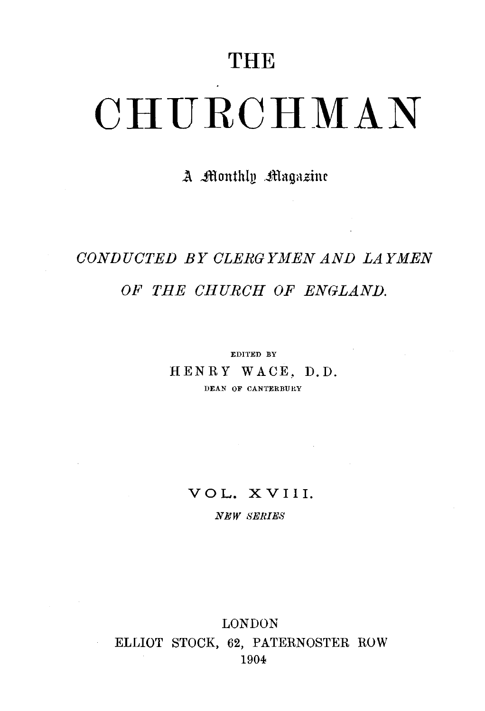## **THE**

# **CHURCHMAN**

### *l\* ~lcrnthlu .JHayazim

# *CONDUCTED BY CLERGYMEN AND LAYMEN OF THE CHURCH OF ENGLAND.*

EDITED BY HENRY WACE, D.D. DEAN OF CANTERBURY

#### VOL. XVIII.

*NEW SERIES* 

#### LONDON ELLIOT STOCK, 62, PATERNOSTER ROW 1904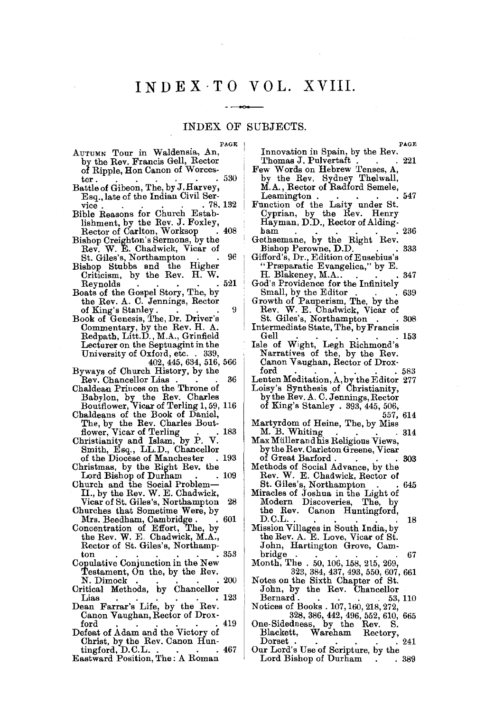## INDEX-TO VOL. XVIII.

 $\sim$   $\sim$ 

#### $-$ INDEX OF SUBJECTS.

**PAGE** I

| PAGE                                                              | PAGE                                      |
|-------------------------------------------------------------------|-------------------------------------------|
| AUTUMN Tour in Waldensia, An,                                     | Innovation in Spain, by the Rev.          |
| by the Rev. Francis Gell, Rector                                  | Thomas J. Pulvertaft .<br>-221            |
| of Ripple, Hon Canon of Worces-                                   | Few Words on Hebrew Tenses, A,            |
| . 530<br>ter .                                                    | by the Rev. Sydney Thelwall,              |
| Battle of Gibeon, The, by J. Harvey,                              | M.A., Rector of Radford Semele,           |
|                                                                   | 547                                       |
| Esq., late of the Indian Civil Ser-                               | Leamington.                               |
| . 78, 132<br>vice.                                                | Function of the Laity under St.           |
| Bible Reasons for Church Estab-                                   | Cyprian, by the Rev. Henry                |
| lishment, by the Rev. J. Foxley,                                  | Hayman, D.D., Rector of Alding-           |
| Rector of Carlton, Worksop<br>408                                 | ham<br>236                                |
| Bishop Creighton's Sermons, by the                                | Gethsemane, by the Right Rev.             |
| Rev. W. E. Chadwick, Vicar of                                     | Bishop Perowne, D.D.<br>333               |
| 96<br>St. Giles's, Northampton                                    | Gifford's, Dr., Edition of Eusebius's     |
| Bishop Stubbs and the Higher                                      | "Præparatic Evangelica," by E.            |
| Criticism, by the Rev. H. W.                                      | H. Blakeney, M.A<br>347                   |
| -521                                                              |                                           |
| Reynolds                                                          | God's Providence for the Infinitely       |
| Boats of the Gospel Story, The, by                                | Small, by the Editor<br>639               |
| the Rev. A. C. Jennings, Rector                                   | Growth of Pauperism, The, by the          |
| of King's Stanley.<br>9                                           | Rev. W. E. Chadwick, Vicar of             |
| Book of Genesis, The, Dr. Driver's                                | St. Giles's, Northampton<br>308           |
| Commentary, by the Rev. H. A.                                     | Intermediate State, The, by Francis       |
| Redpath, Litt.D., M.A., Grinfield                                 | Gell<br>153                               |
| Lecturer on the Septuagint in the                                 | Isle of Wight, Legh Richmond's            |
| University of Oxford, etc. . 339,                                 | Narratives of the, by the Rev.            |
|                                                                   |                                           |
| 402, 445, 634, 516, 566                                           | Canon Vaughan, Rector of Drox-            |
| Byways of Church History, by the                                  | ford<br>583                               |
| 36<br>Rev. Chancellor Lias                                        | Lenten Meditation, A, by the Editor 277   |
| Chaldean Princes on the Throne of                                 | Loisy's Synthesis of Christianity,        |
| Babylon, by the Rev. Charles                                      | by the Rev. A. C. Jennings, Rector        |
| Boutflower, Vicar of Terling 1, 59, 116                           | of King's Stanley . 393, 445, 506,        |
| Chaldeans of the Book of Daniel,                                  | 557, 614                                  |
|                                                                   | Martyrdom of Heine, The, by Miss          |
| The, by the Rev. Charles Bout-<br>flower, Vicar of Terling<br>183 | M. B. Whiting<br>- 314                    |
| Christianity and Islam, by P. V.                                  | Max Müller and his Religious Views,       |
| Smith, Esq., LL.D., Chancellor                                    |                                           |
|                                                                   | by the Rev. Carleton Greene, Vicar        |
| . 193<br>of the Diocese of Manchester                             | of Great Barford.<br>303                  |
| Christmas, by the Right Rev. the                                  | Methods of Social Advance, by the         |
| Lord Bishop of Durham<br>. 109                                    | Rev. W. E. Chadwick, Rector of            |
| Church and the Social Problem—                                    | St. Giles's, Northampton<br>645<br>$\sim$ |
| II., by the Rev. W. E. Chadwick,                                  | Miracles of Joshua in the Light of        |
| Vicar of St. Giles's, Northampton<br>28                           | Modern<br>Discoveries,<br>The, by         |
| Churches that Sometime Were, by                                   | the Rev. Canon Huntingford,               |
| Mrs. Beedham, Cambridge .<br>. 601                                | D.C.L.<br>18                              |
| Concentration of Effort, The, by                                  | Mission Villages in South India, by       |
|                                                                   |                                           |
| the Rev. W. E. Chadwick, M.A.,                                    | the Rev. A. E. Love, Vicar of St.         |
| Rector of St. Giles's, Northamp-                                  | John, Hartington Grove, Cam-              |
| -353<br>ton                                                       | bridge<br>67                              |
| Copulative Conjunction in the New                                 | Month, The . 50, 106, 158, 215, 269,      |
| Testament, On the, by the Rev.                                    | 323, 384, 437, 493, 550, 607, 661         |
| 200<br>N. Dimock                                                  | Notes on the Sixth Chapter of St.         |
| Critical Methods, by Chancellor                                   | John, by the Rev. Chancellor              |
| 123<br>Lias                                                       | Bernard .<br>53, 110                      |
| Dean Farrar's Life, by the Rev.                                   | Notices of Books . 107, 160, 218, 272,    |
| Canon Vaughan, Rector of Drox-                                    | 328, 386, 442, 496, 552, 610, 665         |
| 419<br>ford                                                       | One-Sidedness, by the Rev.<br>ៜ.          |
| Defeat of Adam and the Victory of                                 | Blackett, Wareham Rectory,                |
|                                                                   |                                           |
| Christ, by the Rev. Canon Hun-                                    | $_{\rm Dorset}$ .<br>241                  |
| tingford, D.C.L.<br>. 467                                         | Our Lord's Use of Scripture, by the       |
| <b>Eastward Position, The: A Roman</b>                            | Lord Bishop of Durham<br>. 389            |
|                                                                   |                                           |